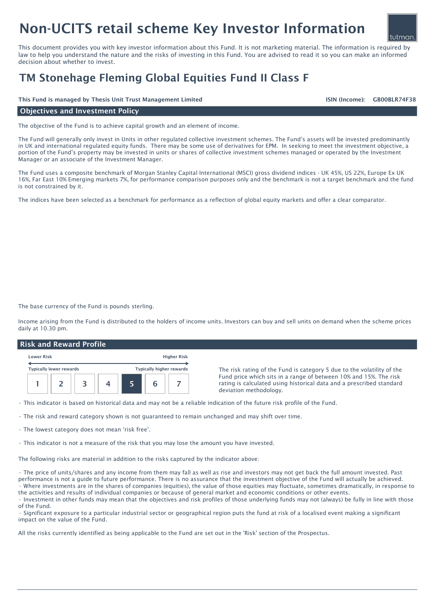# Non-UCITS retail scheme Key Investor Information

This document provides you with key investor information about this Fund. It is not marketing material. The information is required by law to help you understand the nature and the risks of investing in this Fund. You are advised to read it so you can make an informed decision about whether to invest.

## TM Stonehage Fleming Global Equities Fund II Class F

This Fund is managed by Thesis Unit Trust Management Limited GB00BLR74F38

ISIN (Income):

tutman

#### Objectives and Investment Policy

The objective of the Fund is to achieve capital growth and an element of income.

The Fund will generally only invest in Units in other regulated collective investment schemes. The Fund's assets will be invested predominantly in UK and international regulated equity funds. There may be some use of derivatives for EPM. In seeking to meet the investment objective, a portion of the Fund's property may be invested in units or shares of collective investment schemes managed or operated by the Investment Manager or an associate of the Investment Manager.

The Fund uses a composite benchmark of Morgan Stanley Capital International (MSCI) gross dividend indices - UK 45%, US 22%, Europe Ex UK 16%, Far East 10% Emerging markets 7%, for performance comparison purposes only and the benchmark is not a target benchmark and the fund is not constrained by it.

The indices have been selected as a benchmark for performance as a reflection of global equity markets and offer a clear comparator.

The base currency of the Fund is pounds sterling.

Income arising from the Fund is distributed to the holders of income units. Investors can buy and sell units on demand when the scheme prices daily at 10.30 pm.

#### Risk and Reward Profile

| <b>Lower Risk</b>              |  |  |  |                                 |  | <b>Higher Risk</b> |
|--------------------------------|--|--|--|---------------------------------|--|--------------------|
| <b>Typically lower rewards</b> |  |  |  | <b>Typically higher rewards</b> |  |                    |
|                                |  |  |  |                                 |  |                    |

The risk rating of the Fund is category 5 due to the volatility of the Fund price which sits in a range of between 10% and 15%. The risk rating is calculated using historical data and a prescribed standard deviation methodology.

• This indicator is based on historical data and may not be a reliable indication of the future risk profile of the Fund.

• The risk and reward category shown is not guaranteed to remain unchanged and may shift over time.

• The lowest category does not mean 'risk free'.

• This indicator is not a measure of the risk that you may lose the amount you have invested.

The following risks are material in addition to the risks captured by the indicator above:

• The price of units/shares and any income from them may fall as well as rise and investors may not get back the full amount invested. Past performance is not a guide to future performance. There is no assurance that the investment objective of the Fund will actually be achieved. • Where investments are in the shares of companies (equities), the value of those equities may fluctuate, sometimes dramatically, in response to the activities and results of individual companies or because of general market and economic conditions or other events.

• Investment in other funds may mean that the objectives and risk profiles of those underlying funds may not (always) be fully in line with those of the Fund.

• Significant exposure to a particular industrial sector or geographical region puts the fund at risk of a localised event making a significant impact on the value of the Fund.

All the risks currently identified as being applicable to the Fund are set out in the 'Risk' section of the Prospectus.